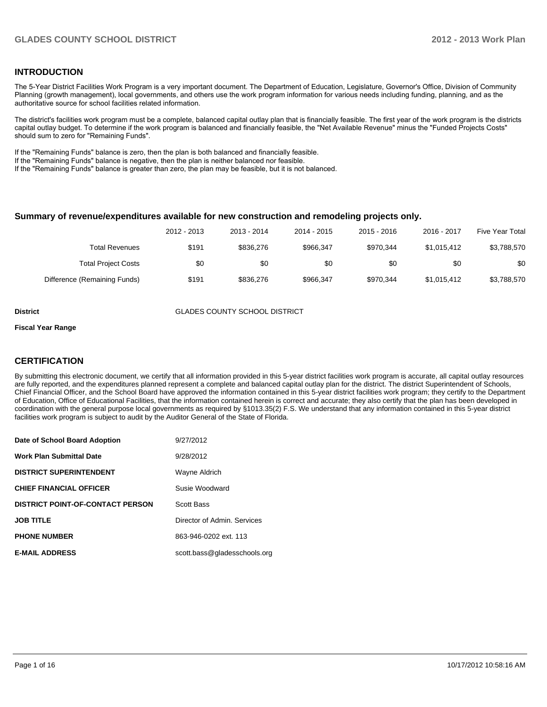#### **INTRODUCTION**

The 5-Year District Facilities Work Program is a very important document. The Department of Education, Legislature, Governor's Office, Division of Community Planning (growth management), local governments, and others use the work program information for various needs including funding, planning, and as the authoritative source for school facilities related information.

The district's facilities work program must be a complete, balanced capital outlay plan that is financially feasible. The first year of the work program is the districts capital outlay budget. To determine if the work program is balanced and financially feasible, the "Net Available Revenue" minus the "Funded Projects Costs" should sum to zero for "Remaining Funds".

If the "Remaining Funds" balance is zero, then the plan is both balanced and financially feasible.

If the "Remaining Funds" balance is negative, then the plan is neither balanced nor feasible.

If the "Remaining Funds" balance is greater than zero, the plan may be feasible, but it is not balanced.

#### **Summary of revenue/expenditures available for new construction and remodeling projects only.**

| Five Year Total | 2016 - 2017 | $2015 - 2016$ | 2014 - 2015 | 2013 - 2014 | 2012 - 2013 |                              |
|-----------------|-------------|---------------|-------------|-------------|-------------|------------------------------|
| \$3,788,570     | \$1.015.412 | \$970.344     | \$966.347   | \$836,276   | \$191       | Total Revenues               |
| \$0             | \$0         | \$0           | \$0         | \$0         | \$0         | <b>Total Project Costs</b>   |
| \$3,788,570     | \$1,015,412 | \$970.344     | \$966.347   | \$836,276   | \$191       | Difference (Remaining Funds) |

**District COUNTY SCHOOL DISTRICT** 

#### **Fiscal Year Range**

#### **CERTIFICATION**

By submitting this electronic document, we certify that all information provided in this 5-year district facilities work program is accurate, all capital outlay resources are fully reported, and the expenditures planned represent a complete and balanced capital outlay plan for the district. The district Superintendent of Schools, Chief Financial Officer, and the School Board have approved the information contained in this 5-year district facilities work program; they certify to the Department of Education, Office of Educational Facilities, that the information contained herein is correct and accurate; they also certify that the plan has been developed in coordination with the general purpose local governments as required by §1013.35(2) F.S. We understand that any information contained in this 5-year district facilities work program is subject to audit by the Auditor General of the State of Florida.

| Date of School Board Adoption           | 9/27/2012                    |
|-----------------------------------------|------------------------------|
| <b>Work Plan Submittal Date</b>         | 9/28/2012                    |
| <b>DISTRICT SUPERINTENDENT</b>          | Wayne Aldrich                |
| <b>CHIEF FINANCIAL OFFICER</b>          | Susie Woodward               |
| <b>DISTRICT POINT-OF-CONTACT PERSON</b> | <b>Scott Bass</b>            |
| <b>JOB TITLE</b>                        | Director of Admin, Services  |
| <b>PHONE NUMBER</b>                     | 863-946-0202 ext. 113        |
| <b>E-MAIL ADDRESS</b>                   | scott.bass@gladesschools.org |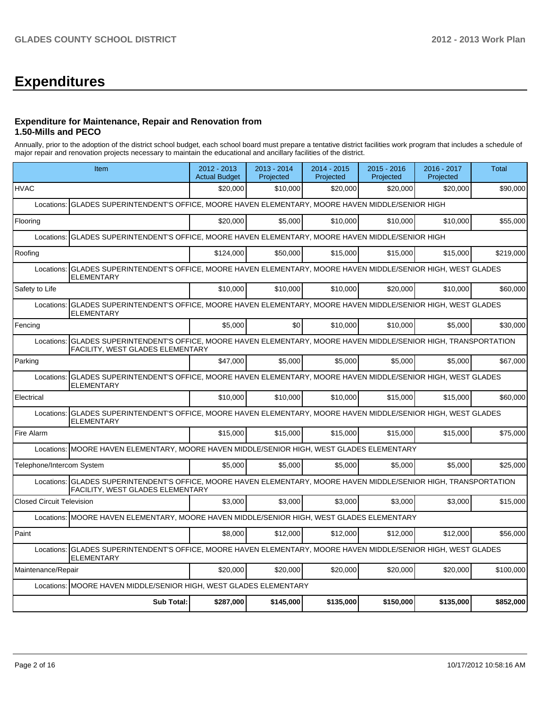# **Expenditures**

#### **Expenditure for Maintenance, Repair and Renovation from 1.50-Mills and PECO**

Annually, prior to the adoption of the district school budget, each school board must prepare a tentative district facilities work program that includes a schedule of major repair and renovation projects necessary to maintain the educational and ancillary facilities of the district.

|                                  | Item                                                                                                                                                         |           | 2013 - 2014<br>Projected | 2014 - 2015<br>Projected | $2015 - 2016$<br>Projected | 2016 - 2017<br>Projected | <b>Total</b> |  |  |  |  |
|----------------------------------|--------------------------------------------------------------------------------------------------------------------------------------------------------------|-----------|--------------------------|--------------------------|----------------------------|--------------------------|--------------|--|--|--|--|
| <b>HVAC</b>                      |                                                                                                                                                              | \$20,000  | \$10,000                 | \$20,000                 | \$20,000                   | \$20.000                 | \$90,000     |  |  |  |  |
| Locations:                       | GLADES SUPERINTENDENT'S OFFICE, MOORE HAVEN ELEMENTARY, MOORE HAVEN MIDDLE/SENIOR HIGH                                                                       |           |                          |                          |                            |                          |              |  |  |  |  |
| Flooring                         |                                                                                                                                                              | \$20,000  | \$5.000                  | \$10,000                 | \$10,000                   | \$10,000                 | \$55,000     |  |  |  |  |
| Locations:                       | GLADES SUPERINTENDENT'S OFFICE, MOORE HAVEN ELEMENTARY, MOORE HAVEN MIDDLE/SENIOR HIGH                                                                       |           |                          |                          |                            |                          |              |  |  |  |  |
| Roofing                          |                                                                                                                                                              | \$124,000 | \$50,000                 | \$15,000                 | \$15,000                   | \$15,000                 | \$219,000    |  |  |  |  |
| Locations:                       | GLADES SUPERINTENDENT'S OFFICE, MOORE HAVEN ELEMENTARY, MOORE HAVEN MIDDLE/SENIOR HIGH, WEST GLADES<br><b>ELEMENTARY</b>                                     |           |                          |                          |                            |                          |              |  |  |  |  |
| Safety to Life                   |                                                                                                                                                              | \$10,000  | \$10,000                 | \$10.000                 | \$20,000                   | \$10,000                 | \$60,000     |  |  |  |  |
| Locations:                       | GLADES SUPERINTENDENT'S OFFICE, MOORE HAVEN ELEMENTARY, MOORE HAVEN MIDDLE/SENIOR HIGH, WEST GLADES<br><b>ELEMENTARY</b>                                     |           |                          |                          |                            |                          |              |  |  |  |  |
| Fencing                          |                                                                                                                                                              | \$5.000   | \$0                      | \$10.000                 | \$10,000                   | \$5,000                  | \$30,000     |  |  |  |  |
| Locations:                       | GLADES SUPERINTENDENT'S OFFICE, MOORE HAVEN ELEMENTARY, MOORE HAVEN MIDDLE/SENIOR HIGH, TRANSPORTATION<br>FACILITY, WEST GLADES ELEMENTARY                   |           |                          |                          |                            |                          |              |  |  |  |  |
| Parking                          |                                                                                                                                                              | \$47.000  | \$5.000                  | \$5.000                  | \$5.000                    | \$5,000                  | \$67,000     |  |  |  |  |
| Locations:                       | GLADES SUPERINTENDENT'S OFFICE, MOORE HAVEN ELEMENTARY, MOORE HAVEN MIDDLE/SENIOR HIGH, WEST GLADES<br>ELEMENTARY                                            |           |                          |                          |                            |                          |              |  |  |  |  |
| Electrical                       |                                                                                                                                                              | \$10,000  | \$10,000                 | \$10.000                 | \$15,000                   | \$15,000                 | \$60,000     |  |  |  |  |
| Locations:                       | GLADES SUPERINTENDENT'S OFFICE, MOORE HAVEN ELEMENTARY, MOORE HAVEN MIDDLE/SENIOR HIGH, WEST GLADES<br>ELEMENTARY                                            |           |                          |                          |                            |                          |              |  |  |  |  |
| Fire Alarm                       |                                                                                                                                                              | \$15,000  | \$15,000                 | \$15,000                 | \$15,000                   | \$15,000                 | \$75,000     |  |  |  |  |
| Locations:                       | MOORE HAVEN ELEMENTARY, MOORE HAVEN MIDDLE/SENIOR HIGH, WEST GLADES ELEMENTARY                                                                               |           |                          |                          |                            |                          |              |  |  |  |  |
| Telephone/Intercom System        |                                                                                                                                                              | \$5.000   | \$5.000                  | \$5,000                  | \$5.000                    | \$5.000                  | \$25,000     |  |  |  |  |
|                                  | Locations: GLADES SUPERINTENDENT'S OFFICE, MOORE HAVEN ELEMENTARY, MOORE HAVEN MIDDLE/SENIOR HIGH, TRANSPORTATION<br><b>FACILITY, WEST GLADES ELEMENTARY</b> |           |                          |                          |                            |                          |              |  |  |  |  |
| <b>Closed Circuit Television</b> |                                                                                                                                                              | \$3,000   | \$3,000                  | \$3,000                  | \$3,000                    | \$3,000                  | \$15,000     |  |  |  |  |
|                                  | Locations: MOORE HAVEN ELEMENTARY, MOORE HAVEN MIDDLE/SENIOR HIGH, WEST GLADES ELEMENTARY                                                                    |           |                          |                          |                            |                          |              |  |  |  |  |
| Paint                            |                                                                                                                                                              | \$8,000   | \$12,000                 | \$12,000                 | \$12,000                   | \$12,000                 | \$56,000     |  |  |  |  |
| Locations:                       | GLADES SUPERINTENDENT'S OFFICE, MOORE HAVEN ELEMENTARY, MOORE HAVEN MIDDLE/SENIOR HIGH, WEST GLADES<br><b>ELEMENTARY</b>                                     |           |                          |                          |                            |                          |              |  |  |  |  |
| Maintenance/Repair               |                                                                                                                                                              | \$20,000  | \$20,000                 | \$20,000                 | \$20,000                   | \$20,000                 | \$100,000    |  |  |  |  |
| Locations:                       | MOORE HAVEN MIDDLE/SENIOR HIGH, WEST GLADES ELEMENTARY                                                                                                       |           |                          |                          |                            |                          |              |  |  |  |  |
|                                  | <b>Sub Total:</b>                                                                                                                                            | \$287,000 | \$145,000                | \$135,000                | \$150,000                  | \$135,000                | \$852,000    |  |  |  |  |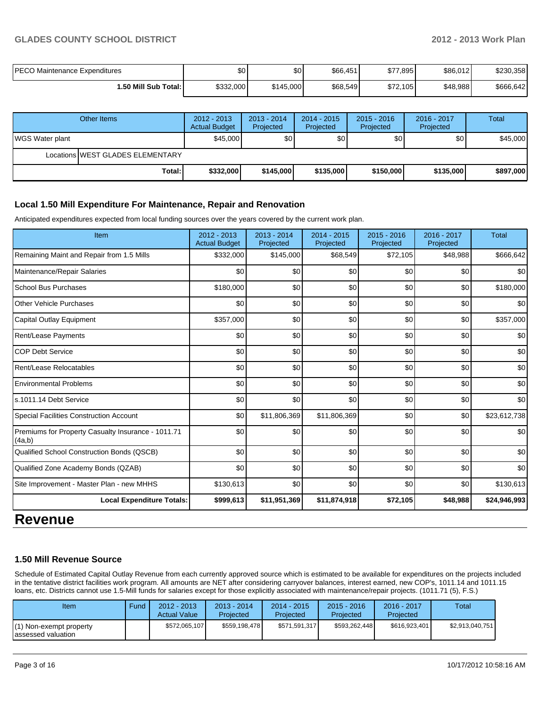#### **GLADES COUNTY SCHOOL DISTRICT 2012 - 2013 Work Plan**

| <b>PECO Maintenance Expenditures</b> | \$0       | \$0 <sub>1</sub> | \$66,451 | \$77,895 | \$86,012 | \$230,358 |
|--------------------------------------|-----------|------------------|----------|----------|----------|-----------|
| 1.50 Mill Sub Total:                 | \$332,000 | \$145,000        | \$68,549 | \$72,105 | \$48,988 | \$666,642 |

|                         | Other Items                      | $2012 - 2013$<br><b>Actual Budget</b> | $2013 - 2014$<br>Projected | $2014 - 2015$<br>Projected | $2015 - 2016$<br>Projected | 2016 - 2017<br>Projected | Total     |
|-------------------------|----------------------------------|---------------------------------------|----------------------------|----------------------------|----------------------------|--------------------------|-----------|
| <b>IWGS Water plant</b> |                                  | \$45,000                              | \$0 <sub>1</sub>           | \$0                        | \$0                        | \$0 <sub>1</sub>         | \$45,000  |
|                         | Locations WEST GLADES ELEMENTARY |                                       |                            |                            |                            |                          |           |
|                         | Total:                           | \$332,000                             | \$145,000                  | \$135,000                  | \$150,000                  | \$135,000                | \$897,000 |

#### **Local 1.50 Mill Expenditure For Maintenance, Repair and Renovation**

Anticipated expenditures expected from local funding sources over the years covered by the current work plan.

| Item                                                         | 2012 - 2013<br><b>Actual Budget</b> | $2013 - 2014$<br>Projected | $2014 - 2015$<br>Projected | 2015 - 2016<br>Projected | $2016 - 2017$<br>Projected | Total        |
|--------------------------------------------------------------|-------------------------------------|----------------------------|----------------------------|--------------------------|----------------------------|--------------|
| Remaining Maint and Repair from 1.5 Mills                    | \$332,000                           | \$145,000                  | \$68,549                   | \$72,105                 | \$48,988                   | \$666,642    |
| Maintenance/Repair Salaries                                  | \$0                                 | \$0                        | \$0                        | \$0                      | \$0                        | \$0          |
| <b>School Bus Purchases</b>                                  | \$180,000                           | \$0                        | \$0                        | \$0                      | \$0                        | \$180,000    |
| Other Vehicle Purchases                                      | \$0                                 | \$0                        | \$0                        | \$0                      | \$0                        | \$0          |
| <b>Capital Outlay Equipment</b>                              | \$357,000                           | \$0                        | \$0                        | \$0                      | \$0                        | \$357,000    |
| Rent/Lease Payments                                          | \$0                                 | \$0                        | \$0                        | \$0                      | \$0                        | \$0          |
| <b>COP Debt Service</b>                                      | \$0                                 | \$0                        | \$0                        | \$0                      | \$0                        | \$0          |
| Rent/Lease Relocatables                                      | \$0                                 | \$0                        | \$0                        | \$0                      | \$0                        | \$0          |
| <b>Environmental Problems</b>                                | \$0                                 | \$0                        | \$0                        | \$0                      | \$0                        | \$0          |
| s.1011.14 Debt Service                                       | \$0                                 | \$0                        | \$0                        | \$0                      | \$0                        | \$0          |
| <b>Special Facilities Construction Account</b>               | \$0                                 | \$11,806,369               | \$11,806,369               | \$0                      | \$0                        | \$23,612,738 |
| Premiums for Property Casualty Insurance - 1011.71<br>(4a,b) | \$0                                 | \$0                        | \$0                        | \$0                      | \$0                        | \$0          |
| Qualified School Construction Bonds (QSCB)                   | \$0                                 | \$0                        | \$0                        | \$0                      | \$0                        | \$0          |
| Qualified Zone Academy Bonds (QZAB)                          | \$0                                 | \$0                        | \$0                        | \$0                      | \$0                        | \$0          |
| Site Improvement - Master Plan - new MHHS                    | \$130,613                           | \$0                        | \$0                        | \$0                      | \$0                        | \$130,613    |
| <b>Local Expenditure Totals:</b>                             | \$999,613                           | \$11,951,369               | \$11,874,918               | \$72,105                 | \$48,988                   | \$24,946,993 |

### **Revenue**

#### **1.50 Mill Revenue Source**

Schedule of Estimated Capital Outlay Revenue from each currently approved source which is estimated to be available for expenditures on the projects included in the tentative district facilities work program. All amounts are NET after considering carryover balances, interest earned, new COP's, 1011.14 and 1011.15 loans, etc. Districts cannot use 1.5-Mill funds for salaries except for those explicitly associated with maintenance/repair projects. (1011.71 (5), F.S.)

| Item                                            | Fund | $2012 - 2013$<br><b>Actual Value</b> | $2013 - 2014$<br>Projected | $2014 - 2015$<br>Projected | $2015 - 2016$<br>Projected | $2016 - 2017$<br>Projected | Total           |
|-------------------------------------------------|------|--------------------------------------|----------------------------|----------------------------|----------------------------|----------------------------|-----------------|
| $(1)$ Non-exempt property<br>assessed valuation |      | \$572,065,107                        | \$559.198.478              | \$571,591,317              | \$593,262,448              | \$616.923.401              | \$2,913,040,751 |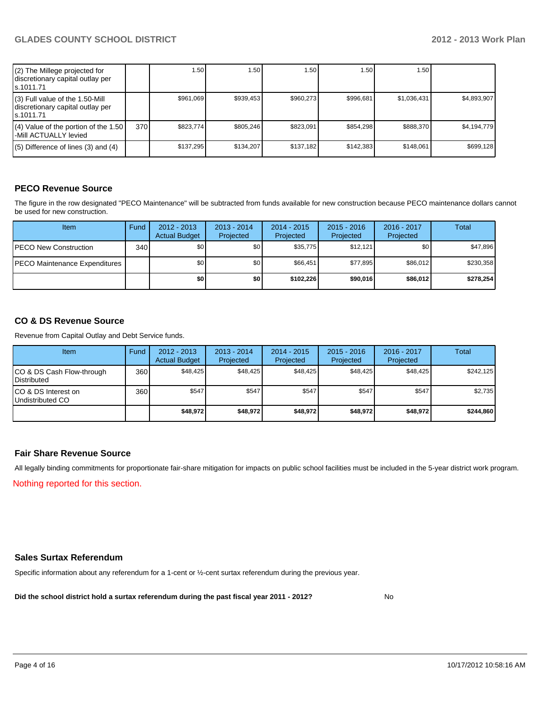| (2) The Millege projected for<br>discretionary capital outlay per<br>ls.1011.71   |     | 1.50      | .50 <sub>1</sub> | 1.50 <sub>1</sub> | 1.50      | 1.50 l      |             |
|-----------------------------------------------------------------------------------|-----|-----------|------------------|-------------------|-----------|-------------|-------------|
| (3) Full value of the 1.50-Mill<br>discretionary capital outlay per<br>ls.1011.71 |     | \$961.069 | \$939.453        | \$960.273         | \$996.681 | \$1,036,431 | \$4.893.907 |
| (4) Value of the portion of the 1.50<br>-Mill ACTUALLY levied                     | 370 | \$823.774 | \$805.246        | \$823.091         | \$854.298 | \$888.370   | \$4,194,779 |
| $(5)$ Difference of lines (3) and (4)                                             |     | \$137,295 | \$134.207        | \$137.182         | \$142.383 | \$148.061   | \$699.128   |

#### **PECO Revenue Source**

The figure in the row designated "PECO Maintenance" will be subtracted from funds available for new construction because PECO maintenance dollars cannot be used for new construction.

| <b>Item</b>                   | Fund | $2012 - 2013$<br><b>Actual Budget</b> | $2013 - 2014$<br>Projected | $2014 - 2015$<br>Projected | $2015 - 2016$<br>Projected | 2016 - 2017<br>Projected | Total     |
|-------------------------------|------|---------------------------------------|----------------------------|----------------------------|----------------------------|--------------------------|-----------|
| <b>PECO New Construction</b>  | 340  | \$0 <sub>1</sub>                      | \$0                        | \$35,775                   | \$12.121                   | \$0                      | \$47,896  |
| PECO Maintenance Expenditures |      | \$0 <sub>0</sub>                      | \$0 <sub>1</sub>           | \$66.451                   | \$77.895                   | \$86,012                 | \$230.358 |
|                               |      | \$O                                   | \$0                        | \$102.226                  | \$90,016                   | \$86,012                 | \$278,254 |

#### **CO & DS Revenue Source**

Revenue from Capital Outlay and Debt Service funds.

| Item                                               | Fund | 2012 - 2013<br><b>Actual Budget</b> | $2013 - 2014$<br>Projected | $2014 - 2015$<br>Projected | $2015 - 2016$<br>Projected | 2016 - 2017<br>Projected | Total     |
|----------------------------------------------------|------|-------------------------------------|----------------------------|----------------------------|----------------------------|--------------------------|-----------|
| ICO & DS Cash Flow-through<br><b>I</b> Distributed | 360  | \$48.425                            | \$48.425                   | \$48.425                   | \$48.425                   | \$48.425                 | \$242.125 |
| ICO & DS Interest on<br>Undistributed CO           | 360  | \$547                               | \$547                      | \$547                      | \$547                      | \$547                    | \$2,735   |
|                                                    |      | \$48,972                            | \$48,972                   | \$48,972                   | \$48,972                   | \$48,972                 | \$244,860 |

#### **Fair Share Revenue Source**

Nothing reported for this section. All legally binding commitments for proportionate fair-share mitigation for impacts on public school facilities must be included in the 5-year district work program.

#### **Sales Surtax Referendum**

Specific information about any referendum for a 1-cent or ½-cent surtax referendum during the previous year.

**Did the school district hold a surtax referendum during the past fiscal year 2011 - 2012?**

No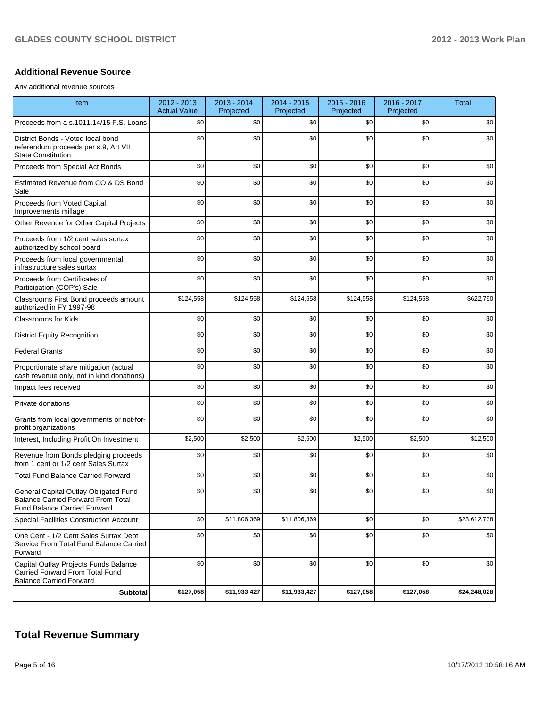#### **Additional Revenue Source**

Any additional revenue sources

| Item                                                                                                                      | 2012 - 2013<br><b>Actual Value</b> | 2013 - 2014<br>Projected | 2014 - 2015<br>Projected | 2015 - 2016<br>Projected | 2016 - 2017<br>Projected | <b>Total</b> |
|---------------------------------------------------------------------------------------------------------------------------|------------------------------------|--------------------------|--------------------------|--------------------------|--------------------------|--------------|
| Proceeds from a s.1011.14/15 F.S. Loans                                                                                   | \$0                                | \$0                      | \$0                      | \$0                      | \$0                      | \$0          |
| District Bonds - Voted local bond<br>referendum proceeds per s.9, Art VII<br><b>State Constitution</b>                    | \$0                                | \$0                      | \$0                      | \$0                      | \$0                      | \$0          |
| Proceeds from Special Act Bonds                                                                                           | \$0                                | \$0                      | \$0                      | \$0                      | \$0                      | \$0          |
| Estimated Revenue from CO & DS Bond<br>Sale                                                                               | \$0                                | \$0                      | \$0                      | \$0                      | \$0                      | \$0          |
| Proceeds from Voted Capital<br>Improvements millage                                                                       | \$0                                | \$0                      | \$0                      | \$0                      | \$0                      | \$0          |
| Other Revenue for Other Capital Projects                                                                                  | \$0                                | \$0                      | \$0                      | \$0                      | \$0                      | \$0          |
| Proceeds from 1/2 cent sales surtax<br>authorized by school board                                                         | \$0                                | \$0                      | \$0                      | \$0                      | \$0                      | \$0          |
| Proceeds from local governmental<br>infrastructure sales surtax                                                           | \$0                                | \$0                      | \$0                      | \$0                      | \$0                      | \$0          |
| Proceeds from Certificates of<br>Participation (COP's) Sale                                                               | \$0                                | \$0                      | \$0                      | \$0                      | \$0                      | \$0          |
| Classrooms First Bond proceeds amount<br>authorized in FY 1997-98                                                         | \$124,558                          | \$124,558                | \$124,558                | \$124,558                | \$124,558                | \$622,790    |
| Classrooms for Kids                                                                                                       | \$0                                | \$0                      | \$0                      | \$0                      | \$0                      | \$0          |
| <b>District Equity Recognition</b>                                                                                        | \$0                                | \$0                      | \$0                      | \$0                      | \$0                      | \$0          |
| <b>Federal Grants</b>                                                                                                     | \$0                                | \$0                      | \$0                      | \$0                      | \$0                      | \$0          |
| Proportionate share mitigation (actual<br>cash revenue only, not in kind donations)                                       | \$0                                | \$0                      | \$0                      | \$0                      | \$0                      | \$0          |
| Impact fees received                                                                                                      | \$0                                | \$0                      | \$0                      | \$0                      | \$0                      | \$0          |
| Private donations                                                                                                         | \$0                                | \$0                      | \$0                      | \$0                      | \$0                      | \$0          |
| Grants from local governments or not-for-<br>profit organizations                                                         | \$0                                | \$0                      | \$0                      | \$0                      | \$0                      | \$0          |
| Interest, Including Profit On Investment                                                                                  | \$2,500                            | \$2,500                  | \$2,500                  | \$2,500                  | \$2,500                  | \$12,500     |
| Revenue from Bonds pledging proceeds<br>from 1 cent or 1/2 cent Sales Surtax                                              | \$0                                | \$0                      | \$0                      | \$0                      | \$0                      | \$0          |
| <b>Total Fund Balance Carried Forward</b>                                                                                 | \$0                                | \$0                      | \$0                      | \$0                      | \$0                      | \$0          |
| General Capital Outlay Obligated Fund<br><b>Balance Carried Forward From Total</b><br><b>Fund Balance Carried Forward</b> | \$0                                | \$0                      | \$0                      | \$0                      | \$0                      | \$0          |
| Special Facilities Construction Account                                                                                   | \$0                                | \$11,806,369             | \$11,806,369             | \$0                      | \$0                      | \$23,612,738 |
| One Cent - 1/2 Cent Sales Surtax Debt<br>Service From Total Fund Balance Carried<br>Forward                               | \$0                                | \$0                      | \$0                      | \$0                      | \$0                      | \$0          |
| Capital Outlay Projects Funds Balance<br>Carried Forward From Total Fund<br><b>Balance Carried Forward</b>                | \$0                                | \$0                      | \$0                      | \$0                      | \$0                      | \$0          |
| Subtotal                                                                                                                  | \$127,058                          | \$11,933,427             | \$11,933,427             | \$127,058                | \$127,058                | \$24,248,028 |

## **Total Revenue Summary**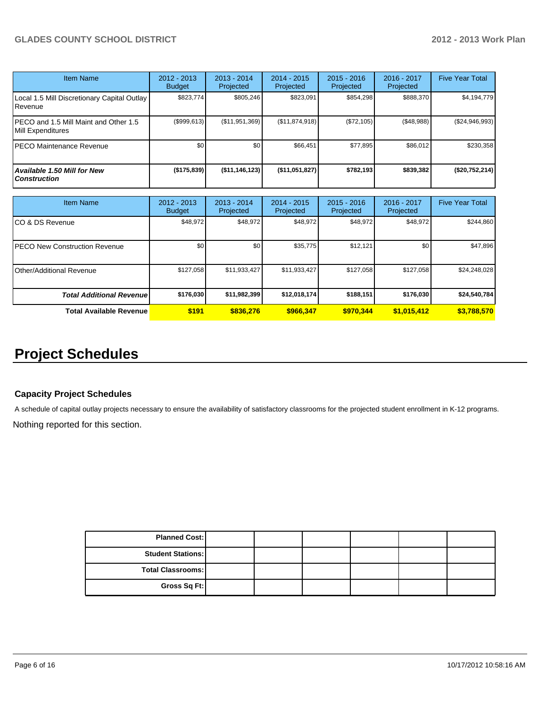| <b>Item Name</b>                                           | 2012 - 2013<br><b>Budget</b> | $2013 - 2014$<br>Projected | $2014 - 2015$<br>Projected | $2015 - 2016$<br>Projected | $2016 - 2017$<br>Projected | <b>Five Year Total</b> |
|------------------------------------------------------------|------------------------------|----------------------------|----------------------------|----------------------------|----------------------------|------------------------|
| Local 1.5 Mill Discretionary Capital Outlay<br>Revenue     | \$823.774                    | \$805.246                  | \$823.091                  | \$854.298                  | \$888,370                  | \$4,194,779            |
| PECO and 1.5 Mill Maint and Other 1.5<br>Mill Expenditures | (\$999.613)                  | (S11.951.369)              | (\$11,874,918)             | (S72, 105)                 | (\$48,988)                 | $(\$24,946,993)$       |
| PECO Maintenance Revenue                                   | \$0                          | \$0                        | \$66,451                   | \$77,895                   | \$86,012                   | \$230,358              |
| Available 1.50 Mill for New<br><b>Construction</b>         | (\$175,839)                  | $($ \$11,146,123)          | (\$11,051,827)             | \$782.193                  | \$839,382                  | (\$20,752,214)         |

| <b>Item Name</b>                      | 2012 - 2013<br><b>Budget</b> | $2013 - 2014$<br>Projected | $2014 - 2015$<br>Projected | $2015 - 2016$<br>Projected | 2016 - 2017<br>Projected | <b>Five Year Total</b> |
|---------------------------------------|------------------------------|----------------------------|----------------------------|----------------------------|--------------------------|------------------------|
| ICO & DS Revenue                      | \$48,972                     | \$48,972                   | \$48,972                   | \$48,972                   | \$48,972                 | \$244,860              |
| <b>IPECO New Construction Revenue</b> | \$0                          | \$0                        | \$35,775                   | \$12,121                   | \$0                      | \$47,896               |
| <b>I</b> Other/Additional Revenue     | \$127,058                    | \$11,933,427               | \$11,933,427               | \$127,058                  | \$127,058                | \$24,248,028           |
| <b>Total Additional Revenuel</b>      | \$176,030                    | \$11,982,399               | \$12,018,174               | \$188,151                  | \$176,030                | \$24,540,784           |
| <b>Total Available Revenue</b>        | \$191                        | \$836.276                  | \$966.347                  | \$970.344                  | \$1,015,412              | \$3,788,570            |

## **Project Schedules**

#### **Capacity Project Schedules**

A schedule of capital outlay projects necessary to ensure the availability of satisfactory classrooms for the projected student enrollment in K-12 programs.

Nothing reported for this section.

| <b>Planned Cost:</b>     |  |  |  |
|--------------------------|--|--|--|
| <b>Student Stations:</b> |  |  |  |
| Total Classrooms:        |  |  |  |
| Gross Sq Ft:             |  |  |  |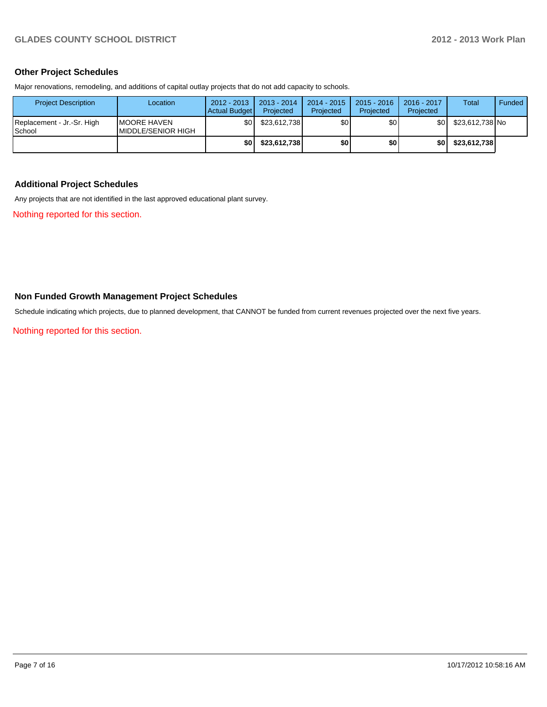#### **Other Project Schedules**

Major renovations, remodeling, and additions of capital outlay projects that do not add capacity to schools.

| <b>Project Description</b>           | Location                                          | $2012 - 2013$<br>Actual Budget | $2013 - 2014$<br>Projected | $2014 - 2015$<br>Projected | $2015 - 2016$<br>Projected | 2016 - 2017<br>Projected | <b>Total</b>    | <b>Funded</b> |
|--------------------------------------|---------------------------------------------------|--------------------------------|----------------------------|----------------------------|----------------------------|--------------------------|-----------------|---------------|
| Replacement - Jr.-Sr. High<br>School | <b>IMOORE HAVEN</b><br><b>IMIDDLE/SENIOR HIGH</b> | \$0                            | \$23.612.738               | \$0                        | \$0                        | \$0l                     | \$23.612.738 No |               |
|                                      |                                                   | \$0 I                          | \$23,612,738               | \$0                        | \$0                        | ا 30                     | \$23,612,738    |               |

#### **Additional Project Schedules**

Any projects that are not identified in the last approved educational plant survey.

Nothing reported for this section.

#### **Non Funded Growth Management Project Schedules**

Schedule indicating which projects, due to planned development, that CANNOT be funded from current revenues projected over the next five years.

Nothing reported for this section.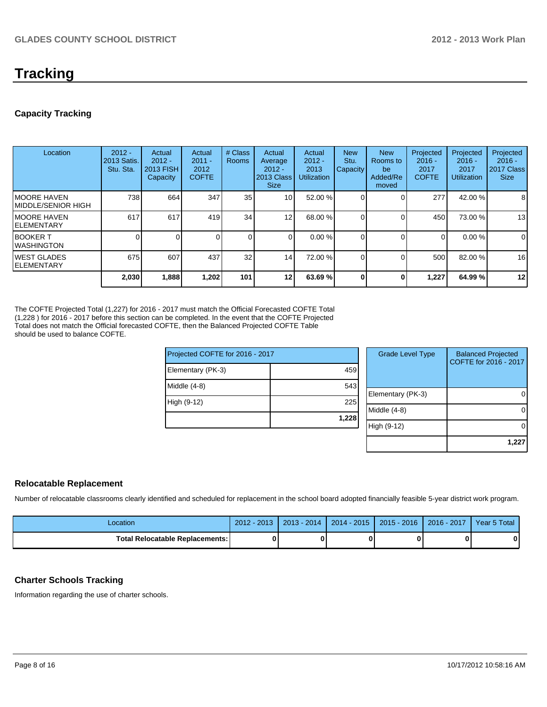## **Tracking**

#### **Capacity Tracking**

| Location                            | $2012 -$<br>2013 Satis.<br>Stu. Sta. | Actual<br>$2012 -$<br>2013 FISH<br>Capacity | Actual<br>$2011 -$<br>2012<br><b>COFTE</b> | # Class<br><b>Rooms</b> | Actual<br>Average<br>$2012 -$<br>2013 Class<br><b>Size</b> | Actual<br>$2012 -$<br>2013<br><b>Utilization</b> | <b>New</b><br>Stu.<br>Capacity | <b>New</b><br><b>Rooms</b> to<br>be<br>Added/Re<br>moved | Projected<br>$2016 -$<br>2017<br><b>COFTE</b> | Projected<br>$2016 -$<br>2017<br>Utilization | Projected<br>$2016 -$<br>2017 Class<br><b>Size</b> |
|-------------------------------------|--------------------------------------|---------------------------------------------|--------------------------------------------|-------------------------|------------------------------------------------------------|--------------------------------------------------|--------------------------------|----------------------------------------------------------|-----------------------------------------------|----------------------------------------------|----------------------------------------------------|
| IMOORE HAVEN<br>IMIDDLE/SENIOR HIGH | 738                                  | 664                                         | 347                                        | 35                      | 10 <sup>1</sup>                                            | 52.00 %                                          |                                |                                                          | 277                                           | 42.00 %                                      | 8                                                  |
| IMOORE HAVEN<br>IELEMENTARY         | 617                                  | 617                                         | 419                                        | 34                      | 12                                                         | 68.00 %                                          |                                |                                                          | 450                                           | 73.00 %                                      | 13                                                 |
| IBOOKER T<br>IWASHINGTON            |                                      |                                             |                                            |                         |                                                            | 0.00%                                            |                                |                                                          | $\Omega$                                      | 0.00%                                        | 0                                                  |
| <b>IWEST GLADES</b><br>IELEMENTARY  | 675                                  | 607                                         | 437                                        | 32                      | 14                                                         | 72.00 %                                          |                                |                                                          | 500                                           | 82.00 %                                      | 16                                                 |
|                                     | 2,030                                | 1,888                                       | 1,202                                      | 101                     | 12                                                         | 63.69 %                                          |                                | O                                                        | 1,227                                         | 64.99%                                       | 12                                                 |

The COFTE Projected Total (1,227) for 2016 - 2017 must match the Official Forecasted COFTE Total (1,228 ) for 2016 - 2017 before this section can be completed. In the event that the COFTE Projected Total does not match the Official forecasted COFTE, then the Balanced Projected COFTE Table should be used to balance COFTE.

| Projected COFTE for 2016 - 2017 |       |
|---------------------------------|-------|
| Elementary (PK-3)               | 459   |
| Middle (4-8)                    | 543   |
| High (9-12)                     | 225   |
|                                 | 1,228 |
|                                 |       |

| <b>Grade Level Type</b> | <b>Balanced Projected</b><br>COFTE for 2016 - 2017 |
|-------------------------|----------------------------------------------------|
| Elementary (PK-3)       |                                                    |
| Middle (4-8)            |                                                    |
| High (9-12)             |                                                    |
|                         | 1,22                                               |

#### **Relocatable Replacement**

Number of relocatable classrooms clearly identified and scheduled for replacement in the school board adopted financially feasible 5-year district work program.

| Location                               | $2012 - 2013$ | $2013 - 2014$ | 2014 - 2015   2015 - 2016   2016 - 2017 | Year 5 Total |
|----------------------------------------|---------------|---------------|-----------------------------------------|--------------|
| <b>Total Relocatable Replacements:</b> |               |               |                                         | 01           |

#### **Charter Schools Tracking**

Information regarding the use of charter schools.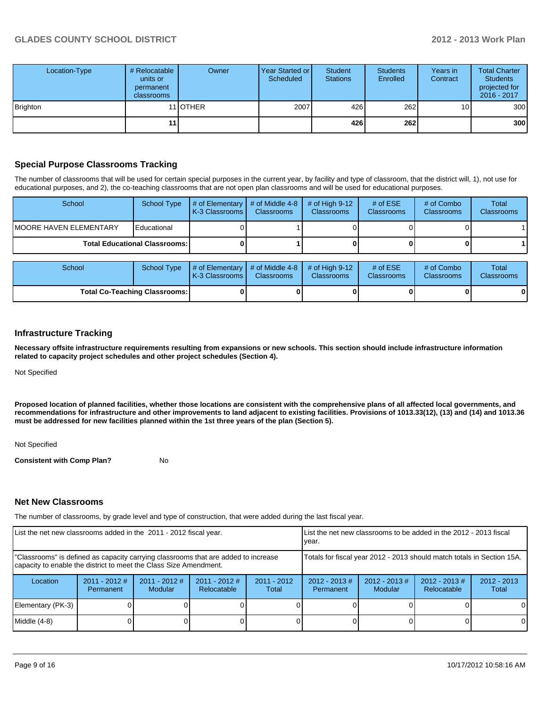| Location-Type | # Relocatable<br>units or<br>permanent<br>classrooms | Owner            | Year Started or I<br>Scheduled | Student<br><b>Stations</b> | <b>Students</b><br>Enrolled | Years in<br>Contract | <b>Total Charter</b><br><b>Students</b><br>projected for<br>2016 - 2017 |
|---------------|------------------------------------------------------|------------------|--------------------------------|----------------------------|-----------------------------|----------------------|-------------------------------------------------------------------------|
| Brighton      |                                                      | 11 <b>JOTHER</b> | 2007                           | 426                        | 262                         | 10 <sub>1</sub>      | 300                                                                     |
|               | 11                                                   |                  |                                | 426                        | 262                         |                      | 300                                                                     |

#### **Special Purpose Classrooms Tracking**

The number of classrooms that will be used for certain special purposes in the current year, by facility and type of classroom, that the district will, 1), not use for educational purposes, and 2), the co-teaching classrooms that are not open plan classrooms and will be used for educational purposes.

| School                                 | School Type | $\parallel$ # of Elementary $\parallel$ # of Middle 4-8 $\parallel$<br><b>IK-3 Classrooms I</b> | <b>Classrooms</b> | $\#$ of High 9-12<br><b>Classrooms</b> | # of $ESE$<br><b>Classrooms</b> | # of Combo<br><b>Classrooms</b> | Total<br><b>Classrooms</b> |
|----------------------------------------|-------------|-------------------------------------------------------------------------------------------------|-------------------|----------------------------------------|---------------------------------|---------------------------------|----------------------------|
| <b>IMOORE HAVEN ELEMENTARY</b>         | Educational |                                                                                                 |                   |                                        |                                 |                                 |                            |
| <b>Total Educational Classrooms: I</b> |             |                                                                                                 |                   |                                        |                                 | 0                               |                            |

| School                               |  | School Type $\left  \frac{1}{2}$ # of Elementary $\left  \frac{1}{2}$ of Middle 4-8 $\left  \frac{1}{2}$ # of High 9-12<br><b>IK-3 Classrooms I</b> | <b>Classrooms</b> | <b>Classrooms</b> | # of $ESE$<br><b>Classrooms</b> | # of Combo<br><b>Classrooms</b> | <b>Total</b><br><b>Classrooms</b> |
|--------------------------------------|--|-----------------------------------------------------------------------------------------------------------------------------------------------------|-------------------|-------------------|---------------------------------|---------------------------------|-----------------------------------|
| <b>Total Co-Teaching Classrooms:</b> |  |                                                                                                                                                     |                   |                   |                                 | 01                              | 0                                 |

#### **Infrastructure Tracking**

**Necessary offsite infrastructure requirements resulting from expansions or new schools. This section should include infrastructure information related to capacity project schedules and other project schedules (Section 4).**

Not Specified

**Proposed location of planned facilities, whether those locations are consistent with the comprehensive plans of all affected local governments, and recommendations for infrastructure and other improvements to land adjacent to existing facilities. Provisions of 1013.33(12), (13) and (14) and 1013.36 must be addressed for new facilities planned within the 1st three years of the plan (Section 5).**

Not Specified

**Consistent with Comp Plan?** No

#### **Net New Classrooms**

The number of classrooms, by grade level and type of construction, that were added during the last fiscal year.

| List the net new classrooms added in the 2011 - 2012 fiscal year.                                                                                       |                                                                        |                                   | List the net new classrooms to be added in the 2012 - 2013 fiscal<br>Ivear. |                        |                               |                             |                                 |                        |
|---------------------------------------------------------------------------------------------------------------------------------------------------------|------------------------------------------------------------------------|-----------------------------------|-----------------------------------------------------------------------------|------------------------|-------------------------------|-----------------------------|---------------------------------|------------------------|
| "Classrooms" is defined as capacity carrying classrooms that are added to increase<br>capacity to enable the district to meet the Class Size Amendment. | Totals for fiscal year 2012 - 2013 should match totals in Section 15A. |                                   |                                                                             |                        |                               |                             |                                 |                        |
| Location                                                                                                                                                | $2011 - 2012$ #<br>Permanent                                           | $2011 - 2012$ #<br><b>Modular</b> | $2011 - 2012$ #<br>Relocatable                                              | $2011 - 2012$<br>Total | $2012 - 2013 \#$<br>Permanent | $2012 - 2013 \#$<br>Modular | $2012 - 2013 \#$<br>Relocatable | $2012 - 2013$<br>Total |
| Elementary (PK-3)                                                                                                                                       |                                                                        |                                   |                                                                             |                        |                               |                             |                                 | $\Omega$               |
| Middle $(4-8)$                                                                                                                                          |                                                                        |                                   |                                                                             |                        |                               |                             |                                 | 0                      |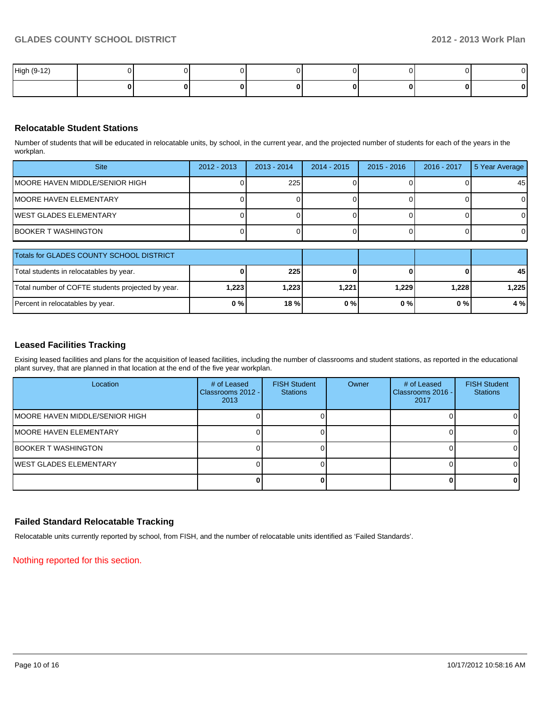| High (9-12) |  |  |  |   |
|-------------|--|--|--|---|
|             |  |  |  | m |

#### **Relocatable Student Stations**

Number of students that will be educated in relocatable units, by school, in the current year, and the projected number of students for each of the years in the workplan.

| <b>Site</b>                     | $2012 - 2013$ | $2013 - 2014$ | 2014 - 2015 | $2015 - 2016$ | 2016 - 2017 | 5 Year Average |
|---------------------------------|---------------|---------------|-------------|---------------|-------------|----------------|
| IMOORE HAVEN MIDDLE/SENIOR HIGH |               | 225           |             |               |             | 45             |
| IMOORE HAVEN ELEMENTARY         |               |               |             |               |             |                |
| lWEST GLADES ELEMENTARY         |               |               |             |               |             |                |
| IBOOKER T WASHINGTON            |               |               |             |               |             |                |

| Totals for GLADES COUNTY SCHOOL DISTRICT          |       |             |       |       |        |       |
|---------------------------------------------------|-------|-------------|-------|-------|--------|-------|
| Total students in relocatables by year.           |       | <b>2251</b> |       |       |        | 45    |
| Total number of COFTE students projected by year. | 1,223 | 1.223 l     | 1.221 | 1.229 | 1.2281 | 1.225 |
| Percent in relocatables by year.                  | 0%    | 18%         | 0%    | 0 % I | 0%     | 4 %   |

#### **Leased Facilities Tracking**

Exising leased facilities and plans for the acquisition of leased facilities, including the number of classrooms and student stations, as reported in the educational plant survey, that are planned in that location at the end of the five year workplan.

| Location                       | # of Leased<br>Classrooms 2012 - I<br>2013 | <b>FISH Student</b><br><b>Stations</b> | Owner | # of Leased<br>Classrooms 2016 -<br>2017 | <b>FISH Student</b><br><b>Stations</b> |
|--------------------------------|--------------------------------------------|----------------------------------------|-------|------------------------------------------|----------------------------------------|
| MOORE HAVEN MIDDLE/SENIOR HIGH |                                            |                                        |       |                                          |                                        |
| <b>IMOORE HAVEN ELEMENTARY</b> |                                            |                                        |       |                                          | ΩI                                     |
| <b>BOOKER T WASHINGTON</b>     |                                            |                                        |       |                                          | ΩI                                     |
| <b>IWEST GLADES ELEMENTARY</b> |                                            |                                        |       |                                          |                                        |
|                                |                                            |                                        |       |                                          | 01                                     |

#### **Failed Standard Relocatable Tracking**

Relocatable units currently reported by school, from FISH, and the number of relocatable units identified as 'Failed Standards'.

Nothing reported for this section.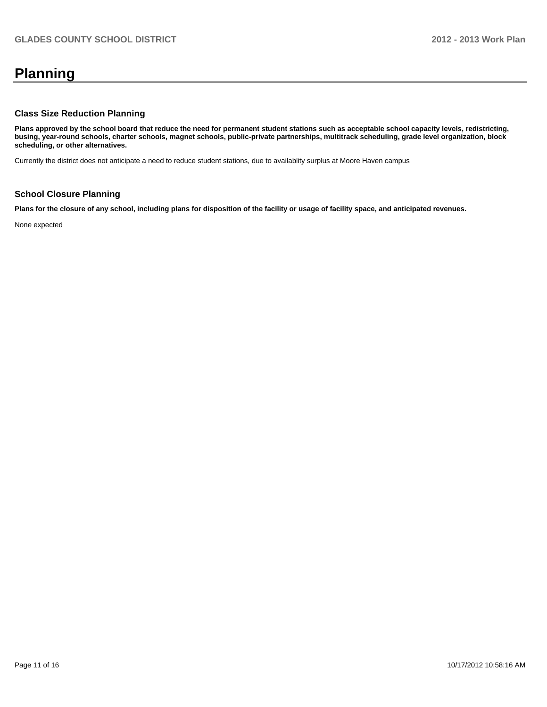# **Planning**

#### **Class Size Reduction Planning**

**Plans approved by the school board that reduce the need for permanent student stations such as acceptable school capacity levels, redistricting, busing, year-round schools, charter schools, magnet schools, public-private partnerships, multitrack scheduling, grade level organization, block scheduling, or other alternatives.**

Currently the district does not anticipate a need to reduce student stations, due to availablity surplus at Moore Haven campus

#### **School Closure Planning**

**Plans for the closure of any school, including plans for disposition of the facility or usage of facility space, and anticipated revenues.**

None expected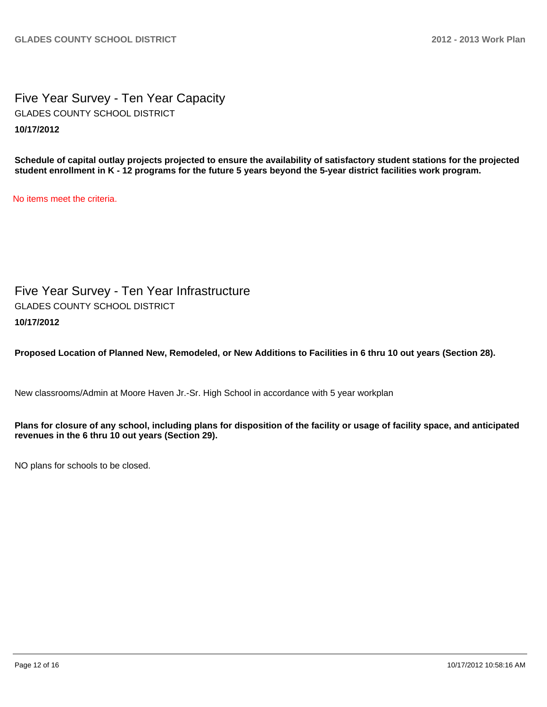Five Year Survey - Ten Year Capacity **10/17/2012** GLADES COUNTY SCHOOL DISTRICT

**Schedule of capital outlay projects projected to ensure the availability of satisfactory student stations for the projected student enrollment in K - 12 programs for the future 5 years beyond the 5-year district facilities work program.**

No items meet the criteria.

Five Year Survey - Ten Year Infrastructure **10/17/2012** GLADES COUNTY SCHOOL DISTRICT

**Proposed Location of Planned New, Remodeled, or New Additions to Facilities in 6 thru 10 out years (Section 28).**

New classrooms/Admin at Moore Haven Jr.-Sr. High School in accordance with 5 year workplan

**Plans for closure of any school, including plans for disposition of the facility or usage of facility space, and anticipated revenues in the 6 thru 10 out years (Section 29).**

NO plans for schools to be closed.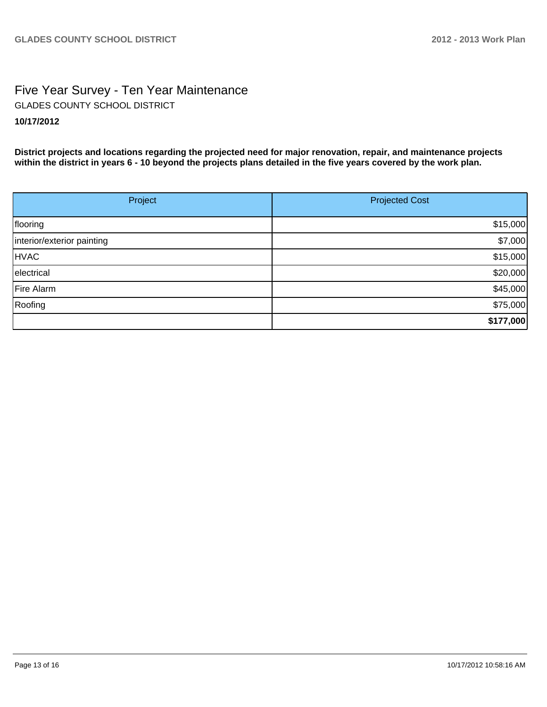## Five Year Survey - Ten Year Maintenance **10/17/2012** GLADES COUNTY SCHOOL DISTRICT

**District projects and locations regarding the projected need for major renovation, repair, and maintenance projects within the district in years 6 - 10 beyond the projects plans detailed in the five years covered by the work plan.**

| Project                    | <b>Projected Cost</b> |  |  |  |
|----------------------------|-----------------------|--|--|--|
|                            |                       |  |  |  |
| flooring                   | \$15,000              |  |  |  |
| interior/exterior painting | \$7,000               |  |  |  |
| <b>HVAC</b>                | \$15,000              |  |  |  |
| electrical                 | \$20,000              |  |  |  |
| Fire Alarm                 | \$45,000              |  |  |  |
| Roofing                    | \$75,000              |  |  |  |
|                            | \$177,000             |  |  |  |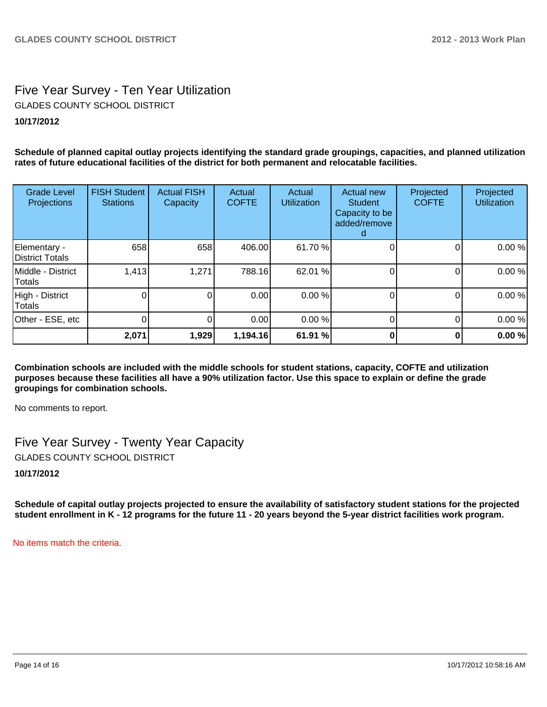## Five Year Survey - Ten Year Utilization **10/17/2012** GLADES COUNTY SCHOOL DISTRICT

**Schedule of planned capital outlay projects identifying the standard grade groupings, capacities, and planned utilization rates of future educational facilities of the district for both permanent and relocatable facilities.**

| <b>Grade Level</b><br>Projections | <b>FISH Student</b><br><b>Stations</b> | <b>Actual FISH</b><br>Capacity | Actual<br><b>COFTE</b> | Actual<br><b>Utilization</b> | Actual new<br><b>Student</b><br>Capacity to be<br>added/remove | Projected<br><b>COFTE</b> | Projected<br><b>Utilization</b> |
|-----------------------------------|----------------------------------------|--------------------------------|------------------------|------------------------------|----------------------------------------------------------------|---------------------------|---------------------------------|
| Elementary -<br>District Totals   | 658                                    | 658                            | 406.00                 | 61.70 %                      |                                                                | Ω                         | 0.00%                           |
| Middle - District<br>Totals       | 1,413                                  | 1,271                          | 788.16                 | 62.01 %                      |                                                                |                           | 0.00%                           |
| High - District<br>Totals         |                                        | 0                              | 0.00                   | 0.00 %                       |                                                                |                           | 0.00%                           |
| Other - ESE, etc                  |                                        | 0                              | 0.00                   | 0.00 %                       |                                                                | 0                         | 0.00%                           |
|                                   | 2,071                                  | 1,929                          | 1,194.16               | 61.91 %                      |                                                                |                           | 0.00%                           |

**Combination schools are included with the middle schools for student stations, capacity, COFTE and utilization purposes because these facilities all have a 90% utilization factor. Use this space to explain or define the grade groupings for combination schools.**

No comments to report.

Five Year Survey - Twenty Year Capacity GLADES COUNTY SCHOOL DISTRICT

**10/17/2012**

**Schedule of capital outlay projects projected to ensure the availability of satisfactory student stations for the projected student enrollment in K - 12 programs for the future 11 - 20 years beyond the 5-year district facilities work program.**

No items match the criteria.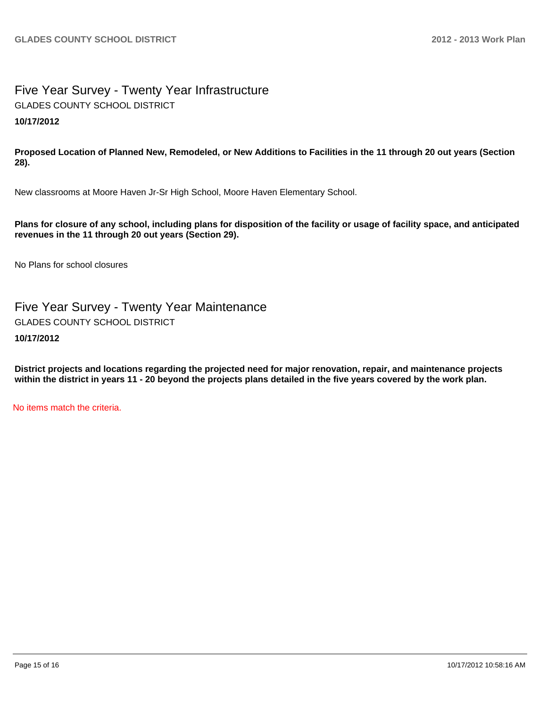### Five Year Survey - Twenty Year Infrastructure **10/17/2012** GLADES COUNTY SCHOOL DISTRICT

**Proposed Location of Planned New, Remodeled, or New Additions to Facilities in the 11 through 20 out years (Section 28).**

New classrooms at Moore Haven Jr-Sr High School, Moore Haven Elementary School.

**Plans for closure of any school, including plans for disposition of the facility or usage of facility space, and anticipated revenues in the 11 through 20 out years (Section 29).**

No Plans for school closures

Five Year Survey - Twenty Year Maintenance GLADES COUNTY SCHOOL DISTRICT

**10/17/2012**

**District projects and locations regarding the projected need for major renovation, repair, and maintenance projects within the district in years 11 - 20 beyond the projects plans detailed in the five years covered by the work plan.**

No items match the criteria.